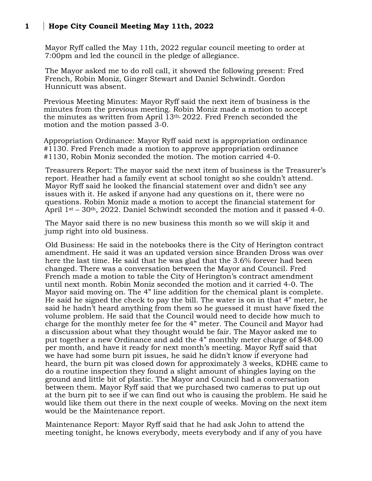## **1 Hope City Council Meeting May 11th, 2022**

Mayor Ryff called the May 11th, 2022 regular council meeting to order at 7:00pm and led the council in the pledge of allegiance.

The Mayor asked me to do roll call, it showed the following present: Fred French, Robin Moniz, Ginger Stewart and Daniel Schwindt. Gordon Hunnicutt was absent.

Previous Meeting Minutes: Mayor Ryff said the next item of business is the minutes from the previous meeting. Robin Moniz made a motion to accept the minutes as written from April 13th, 2022. Fred French seconded the motion and the motion passed 3-0.

Appropriation Ordinance: Mayor Ryff said next is appropriation ordinance #1130. Fred French made a motion to approve appropriation ordinance #1130, Robin Moniz seconded the motion. The motion carried 4-0.

Treasurers Report: The mayor said the next item of business is the Treasurer's report. Heather had a family event at school tonight so she couldn't attend. Mayor Ryff said he looked the financial statement over and didn't see any issues with it. He asked if anyone had any questions on it, there were no questions. Robin Moniz made a motion to accept the financial statement for April  $1<sup>st</sup> - 30<sup>th</sup>$ , 2022. Daniel Schwindt seconded the motion and it passed 4-0.

The Mayor said there is no new business this month so we will skip it and jump right into old business.

Old Business: He said in the notebooks there is the City of Herington contract amendment. He said it was an updated version since Branden Dross was over here the last time. He said that he was glad that the 3.6% forever had been changed. There was a conversation between the Mayor and Council. Fred French made a motion to table the City of Herington's contract amendment until next month. Robin Moniz seconded the motion and it carried 4-0. The Mayor said moving on. The 4" line addition for the chemical plant is complete. He said he signed the check to pay the bill. The water is on in that 4" meter, he said he hadn't heard anything from them so he guessed it must have fixed the volume problem. He said that the Council would need to decide how much to charge for the monthly meter fee for the 4" meter. The Council and Mayor had a discussion about what they thought would be fair. The Mayor asked me to put together a new Ordinance and add the 4" monthly meter charge of \$48.00 per month, and have it ready for next month's meeting. Mayor Ryff said that we have had some burn pit issues, he said he didn't know if everyone had heard, the burn pit was closed down for approximately 3 weeks, KDHE came to do a routine inspection they found a slight amount of shingles laying on the ground and little bit of plastic. The Mayor and Council had a conversation between them. Mayor Ryff said that we purchased two cameras to put up out at the burn pit to see if we can find out who is causing the problem. He said he would like them out there in the next couple of weeks. Moving on the next item would be the Maintenance report.

Maintenance Report: Mayor Ryff said that he had ask John to attend the meeting tonight, he knows everybody, meets everybody and if any of you have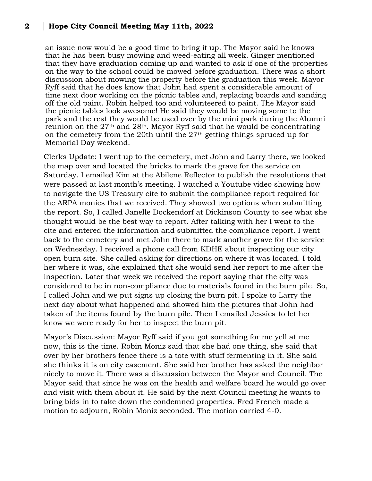## **2 Hope City Council Meeting May 11th, 2022**

an issue now would be a good time to bring it up. The Mayor said he knows that he has been busy mowing and weed-eating all week. Ginger mentioned that they have graduation coming up and wanted to ask if one of the properties on the way to the school could be mowed before graduation. There was a short discussion about mowing the property before the graduation this week. Mayor Ryff said that he does know that John had spent a considerable amount of time next door working on the picnic tables and, replacing boards and sanding off the old paint. Robin helped too and volunteered to paint. The Mayor said the picnic tables look awesome! He said they would be moving some to the park and the rest they would be used over by the mini park during the Alumni reunion on the  $27<sup>th</sup>$  and  $28<sup>th</sup>$ . Mayor Ryff said that he would be concentrating on the cemetery from the 20th until the  $27<sup>th</sup>$  getting things spruced up for Memorial Day weekend.

Clerks Update: I went up to the cemetery, met John and Larry there, we looked the map over and located the bricks to mark the grave for the service on Saturday. I emailed Kim at the Abilene Reflector to publish the resolutions that were passed at last month's meeting. I watched a Youtube video showing how to navigate the US Treasury cite to submit the compliance report required for the ARPA monies that we received. They showed two options when submitting the report. So, I called Janelle Dockendorf at Dickinson County to see what she thought would be the best way to report. After talking with her I went to the cite and entered the information and submitted the compliance report. I went back to the cemetery and met John there to mark another grave for the service on Wednesday. I received a phone call from KDHE about inspecting our city open burn site. She called asking for directions on where it was located. I told her where it was, she explained that she would send her report to me after the inspection. Later that week we received the report saying that the city was considered to be in non-compliance due to materials found in the burn pile. So, I called John and we put signs up closing the burn pit. I spoke to Larry the next day about what happened and showed him the pictures that John had taken of the items found by the burn pile. Then I emailed Jessica to let her know we were ready for her to inspect the burn pit.

Mayor's Discussion: Mayor Ryff said if you got something for me yell at me now, this is the time. Robin Moniz said that she had one thing, she said that over by her brothers fence there is a tote with stuff fermenting in it. She said she thinks it is on city easement. She said her brother has asked the neighbor nicely to move it. There was a discussion between the Mayor and Council. The Mayor said that since he was on the health and welfare board he would go over and visit with them about it. He said by the next Council meeting he wants to bring bids in to take down the condemned properties. Fred French made a motion to adjourn, Robin Moniz seconded. The motion carried 4-0.